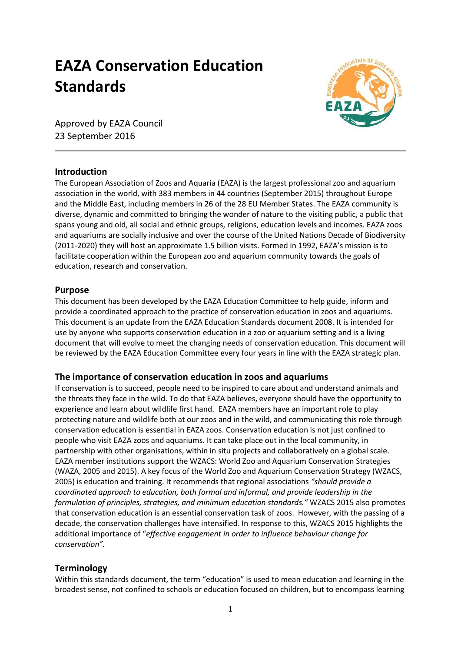# **EAZA Conservation Education Standards**



Approved by EAZA Council 23 September 2016

# **Introduction**

The European Association of Zoos and Aquaria (EAZA) is the largest professional zoo and aquarium association in the world, with 383 members in 44 countries (September 2015) throughout Europe and the Middle East, including members in 26 of the 28 EU Member States. The EAZA community is diverse, dynamic and committed to bringing the wonder of nature to the visiting public, a public that spans young and old, all social and ethnic groups, religions, education levels and incomes. EAZA zoos and aquariums are socially inclusive and over the course of the United Nations Decade of Biodiversity (2011-2020) they will host an approximate 1.5 billion visits. Formed in 1992, EAZA's mission is to facilitate cooperation within the European zoo and aquarium community towards the goals of education, research and conservation.

### **Purpose**

This document has been developed by the EAZA Education Committee to help guide, inform and provide a coordinated approach to the practice of conservation education in zoos and aquariums. This document is an update from the EAZA Education Standards document 2008. It is intended for use by anyone who supports conservation education in a zoo or aquarium setting and is a living document that will evolve to meet the changing needs of conservation education. This document will be reviewed by the EAZA Education Committee every four years in line with the EAZA strategic plan.

# **The importance of conservation education in zoos and aquariums**

If conservation is to succeed, people need to be inspired to care about and understand animals and the threats they face in the wild. To do that EAZA believes, everyone should have the opportunity to experience and learn about wildlife first hand. EAZA members have an important role to play protecting nature and wildlife both at our zoos and in the wild, and communicating this role through conservation education is essential in EAZA zoos. Conservation education is not just confined to people who visit EAZA zoos and aquariums. It can take place out in the local community, in partnership with other organisations, within in situ projects and collaboratively on a global scale. EAZA member institutions support the WZACS: World Zoo and Aquarium Conservation Strategies (WAZA, 2005 and 2015). A key focus of the World Zoo and Aquarium Conservation Strategy (WZACS, 2005) is education and training. It recommends that regional associations *"should provide a coordinated approach to education, both formal and informal, and provide leadership in the formulation of principles, strategies, and minimum education standards."* WZACS 2015 also promotes that conservation education is an essential conservation task of zoos. However, with the passing of a decade, the conservation challenges have intensified. In response to this, WZACS 2015 highlights the additional importance of "*effective engagement in order to influence behaviour change for conservation".* 

# **Terminology**

Within this standards document, the term "education" is used to mean education and learning in the broadest sense, not confined to schools or education focused on children, but to encompass learning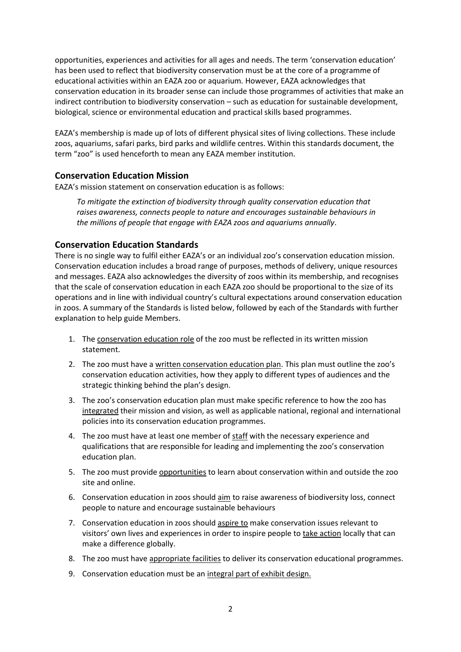opportunities, experiences and activities for all ages and needs. The term 'conservation education' has been used to reflect that biodiversity conservation must be at the core of a programme of educational activities within an EAZA zoo or aquarium. However, EAZA acknowledges that conservation education in its broader sense can include those programmes of activities that make an indirect contribution to biodiversity conservation – such as education for sustainable development, biological, science or environmental education and practical skills based programmes.

EAZA's membership is made up of lots of different physical sites of living collections. These include zoos, aquariums, safari parks, bird parks and wildlife centres. Within this standards document, the term "zoo" is used henceforth to mean any EAZA member institution.

### **Conservation Education Mission**

EAZA's mission statement on conservation education is as follows:

*To mitigate the extinction of biodiversity through quality conservation education that raises awareness, connects people to nature and encourages sustainable behaviours in the millions of people that engage with EAZA zoos and aquariums annually*.

#### **Conservation Education Standards**

There is no single way to fulfil either EAZA's or an individual zoo's conservation education mission. Conservation education includes a broad range of purposes, methods of delivery, unique resources and messages. EAZA also acknowledges the diversity of zoos within its membership, and recognises that the scale of conservation education in each EAZA zoo should be proportional to the size of its operations and in line with individual country's cultural expectations around conservation education in zoos. A summary of the Standards is listed below, followed by each of the Standards with further explanation to help guide Members.

- 1. The conservation education role of the zoo must be reflected in its written mission statement.
- 2. The zoo must have a written conservation education plan. This plan must outline the zoo's conservation education activities, how they apply to different types of audiences and the strategic thinking behind the plan's design.
- 3. The zoo's conservation education plan must make specific reference to how the zoo has integrated their mission and vision, as well as applicable national, regional and international policies into its conservation education programmes.
- 4. The zoo must have at least one member of staff with the necessary experience and qualifications that are responsible for leading and implementing the zoo's conservation education plan.
- 5. The zoo must provide opportunities to learn about conservation within and outside the zoo site and online.
- 6. Conservation education in zoos should aim to raise awareness of biodiversity loss, connect people to nature and encourage sustainable behaviours
- 7. Conservation education in zoos should aspire to make conservation issues relevant to visitors' own lives and experiences in order to inspire people to take action locally that can make a difference globally.
- 8. The zoo must have appropriate facilities to deliver its conservation educational programmes.
- 9. Conservation education must be an integral part of exhibit design.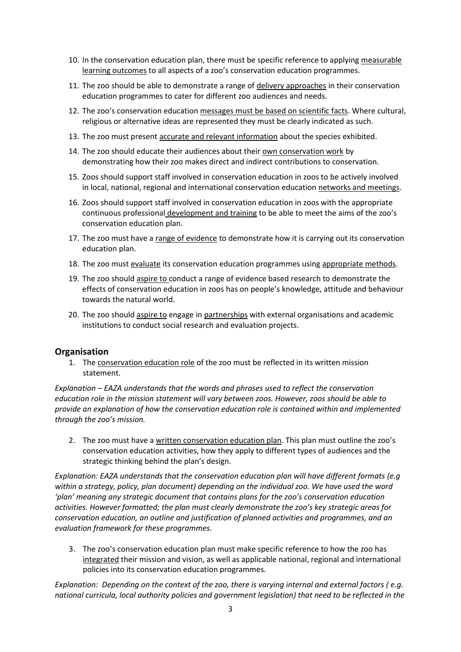- 10. In the conservation education plan, there must be specific reference to applying measurable learning outcomes to all aspects of a zoo's conservation education programmes.
- 11. The zoo should be able to demonstrate a range of delivery approaches in their conservation education programmes to cater for different zoo audiences and needs.
- 12. The zoo's conservation education messages must be based on scientific facts. Where cultural, religious or alternative ideas are represented they must be clearly indicated as such.
- 13. The zoo must present accurate and relevant information about the species exhibited.
- 14. The zoo should educate their audiences about their own conservation work by demonstrating how their zoo makes direct and indirect contributions to conservation.
- 15. Zoos should support staff involved in conservation education in zoos to be actively involved in local, national, regional and international conservation education networks and meetings.
- 16. Zoos should support staff involved in conservation education in zoos with the appropriate continuous professional development and training to be able to meet the aims of the zoo's conservation education plan.
- 17. The zoo must have a range of evidence to demonstrate how it is carrying out its conservation education plan.
- 18. The zoo must evaluate its conservation education programmes using appropriate methods.
- 19. The zoo should aspire to conduct a range of evidence based research to demonstrate the effects of conservation education in zoos has on people's knowledge, attitude and behaviour towards the natural world.
- 20. The zoo should aspire to engage in partnerships with external organisations and academic institutions to conduct social research and evaluation projects.

# **Organisation**

1. The conservation education role of the zoo must be reflected in its written mission statement.

*Explanation – EAZA understands that the words and phrases used to reflect the conservation education role in the mission statement will vary between zoos. However, zoos should be able to provide an explanation of how the conservation education role is contained within and implemented through the zoo's mission.*

2. The zoo must have a written conservation education plan. This plan must outline the zoo's conservation education activities, how they apply to different types of audiences and the strategic thinking behind the plan's design.

*Explanation: EAZA understands that the conservation education plan will have different formats (e.g within a strategy, policy, plan document) depending on the individual zoo. We have used the word 'plan' meaning any strategic document that contains plans for the zoo's conservation education activities. However formatted; the plan must clearly demonstrate the zoo's key strategic areas for conservation education, an outline and justification of planned activities and programmes, and an evaluation framework for these programmes.* 

3. The zoo's conservation education plan must make specific reference to how the zoo has integrated their mission and vision, as well as applicable national, regional and international policies into its conservation education programmes.

*Explanation: Depending on the context of the zoo, there is varying internal and external factors ( e.g. national curricula, local authority policies and government legislation) that need to be reflected in the*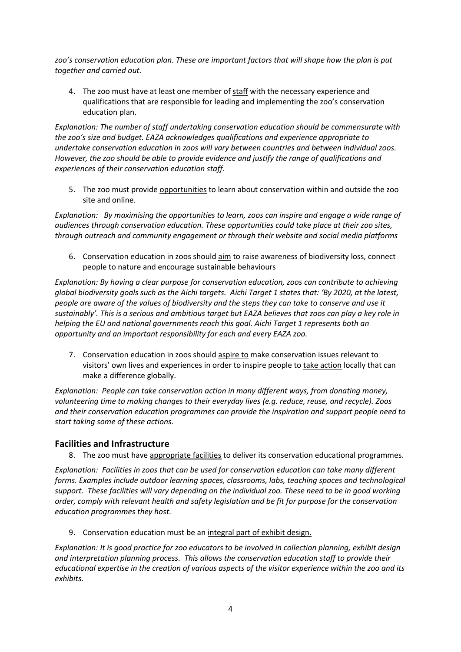*zoo's conservation education plan. These are important factors that will shape how the plan is put together and carried out.* 

4. The zoo must have at least one member of staff with the necessary experience and qualifications that are responsible for leading and implementing the zoo's conservation education plan.

*Explanation: The number of staff undertaking conservation education should be commensurate with the zoo's size and budget. EAZA acknowledges qualifications and experience appropriate to undertake conservation education in zoos will vary between countries and between individual zoos. However, the zoo should be able to provide evidence and justify the range of qualifications and experiences of their conservation education staff.* 

5. The zoo must provide opportunities to learn about conservation within and outside the zoo site and online.

*Explanation: By maximising the opportunities to learn, zoos can inspire and engage a wide range of audiences through conservation education. These opportunities could take place at their zoo sites, through outreach and community engagement or through their website and social media platforms*

6. Conservation education in zoos should aim to raise awareness of biodiversity loss, connect people to nature and encourage sustainable behaviours

*Explanation: By having a clear purpose for conservation education, zoos can contribute to achieving global biodiversity goals such as the Aichi targets. Aichi Target 1 states that: 'By 2020, at the latest, people are aware of the values of biodiversity and the steps they can take to conserve and use it sustainably'. This is a serious and ambitious target but EAZA believes that zoos can play a key role in helping the EU and national governments reach this goal. Aichi Target 1 represents both an opportunity and an important responsibility for each and every EAZA zoo.*

7. Conservation education in zoos should aspire to make conservation issues relevant to visitors' own lives and experiences in order to inspire people to take action locally that can make a difference globally.

*Explanation: People can take conservation action in many different ways, from donating money, volunteering time to making changes to their everyday lives (e.g. reduce, reuse, and recycle). Zoos and their conservation education programmes can provide the inspiration and support people need to start taking some of these actions.* 

# **Facilities and Infrastructure**

8. The zoo must have appropriate facilities to deliver its conservation educational programmes.

*Explanation: Facilities in zoos that can be used for conservation education can take many different forms. Examples include outdoor learning spaces, classrooms, labs, teaching spaces and technological support. These facilities will vary depending on the individual zoo. These need to be in good working order, comply with relevant health and safety legislation and be fit for purpose for the conservation education programmes they host.* 

9. Conservation education must be an integral part of exhibit design.

*Explanation: It is good practice for zoo educators to be involved in collection planning, exhibit design and interpretation planning process. This allows the conservation education staff to provide their educational expertise in the creation of various aspects of the visitor experience within the zoo and its exhibits.*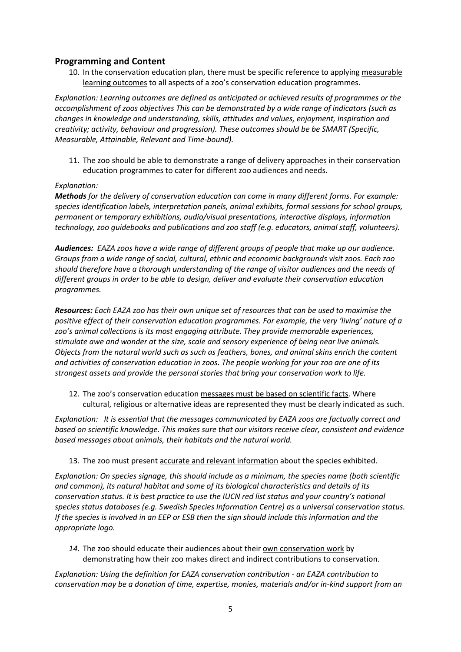## **Programming and Content**

10. In the conservation education plan, there must be specific reference to applying measurable learning outcomes to all aspects of a zoo's conservation education programmes.

*Explanation: Learning outcomes are defined as anticipated or achieved results of programmes or the accomplishment of zoos objectives This can be demonstrated by a wide range of indicators (such as changes in knowledge and understanding, skills, attitudes and values, enjoyment, inspiration and creativity; activity, behaviour and progression). These outcomes should be be SMART (Specific, Measurable, Attainable, Relevant and Time-bound).*

11. The zoo should be able to demonstrate a range of delivery approaches in their conservation education programmes to cater for different zoo audiences and needs.

#### *Explanation:*

*Methods for the delivery of conservation education can come in many different forms. For example: species identification labels, interpretation panels, animal exhibits, formal sessions for school groups, permanent or temporary exhibitions, audio/visual presentations, interactive displays, information technology, zoo guidebooks and publications and zoo staff (e.g. educators, animal staff, volunteers).*

*Audiences: EAZA zoos have a wide range of different groups of people that make up our audience. Groups from a wide range of social, cultural, ethnic and economic backgrounds visit zoos. Each zoo should therefore have a thorough understanding of the range of visitor audiences and the needs of different groups in order to be able to design, deliver and evaluate their conservation education programmes.* 

*Resources: Each EAZA zoo has their own unique set of resources that can be used to maximise the positive effect of their conservation education programmes. For example, the very 'living' nature of a zoo's animal collections is its most engaging attribute. They provide memorable experiences, stimulate awe and wonder at the size, scale and sensory experience of being near live animals. Objects from the natural world such as such as feathers, bones, and animal skins enrich the content and activities of conservation education in zoos. The people working for your zoo are one of its strongest assets and provide the personal stories that bring your conservation work to life.* 

12. The zoo's conservation education messages must be based on scientific facts. Where cultural, religious or alternative ideas are represented they must be clearly indicated as such.

*Explanation: It is essential that the messages communicated by EAZA zoos are factually correct and based on scientific knowledge. This makes sure that our visitors receive clear, consistent and evidence based messages about animals, their habitats and the natural world.* 

13. The zoo must present accurate and relevant information about the species exhibited.

*Explanation: On species signage, this should include as a minimum, the species name (both scientific and common), its natural habitat and some of its biological characteristics and details of its conservation status. It is best practice to use the IUCN red list status and your country's national species status databases (e.g. Swedish Species Information Centre) as a universal conservation status. If the species is involved in an EEP or ESB then the sign should include this information and the appropriate logo.* 

14. The zoo should educate their audiences about their own conservation work by demonstrating how their zoo makes direct and indirect contributions to conservation.

*Explanation: Using the definition for EAZA conservation contribution - an EAZA contribution to conservation may be a donation of time, expertise, monies, materials and/or in-kind support from an*